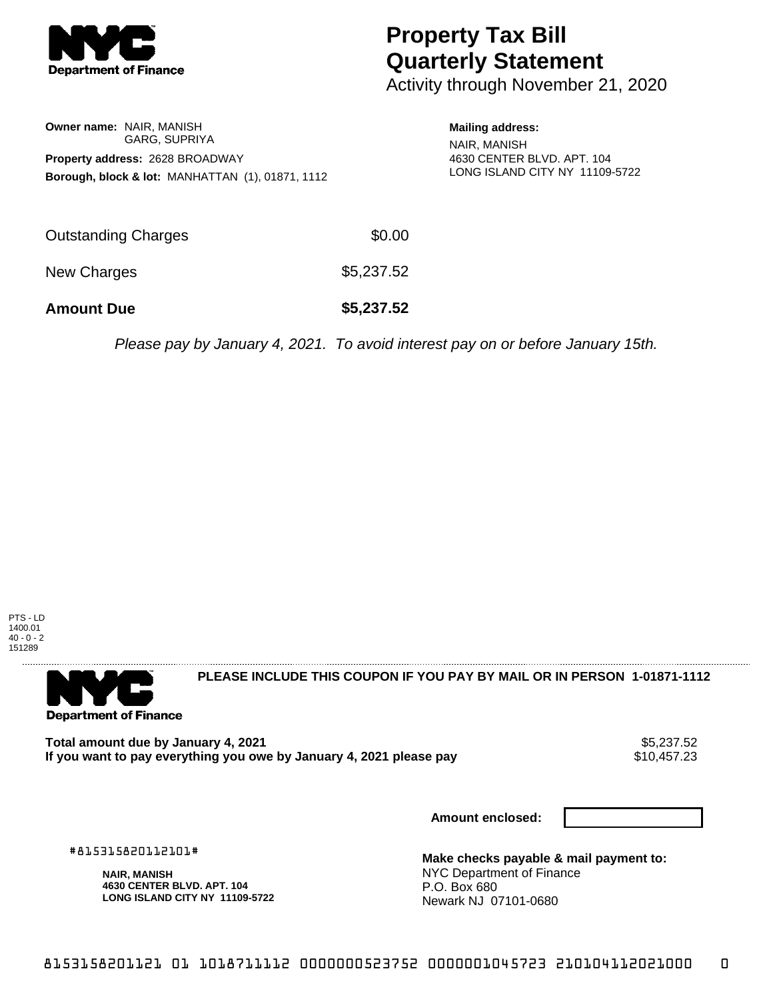

## **Property Tax Bill Quarterly Statement**

Activity through November 21, 2020

|                                        | <b>Owner name: NAIR, MANISH</b>                             |  |  |  |
|----------------------------------------|-------------------------------------------------------------|--|--|--|
|                                        | <b>GARG, SUPRIYA</b>                                        |  |  |  |
| <b>Property address: 2628 BROADWAY</b> |                                                             |  |  |  |
|                                        | <b>Borough, block &amp; lot: MANHATTAN (1), 01871, 1112</b> |  |  |  |

**Mailing address:** NAIR, MANISH 4630 CENTER BLVD. APT. 104 LONG ISLAND CITY NY 11109-5722

| <b>Amount Due</b>   | \$5,237.52 |
|---------------------|------------|
| New Charges         | \$5,237.52 |
| Outstanding Charges | \$0.00     |

Please pay by January 4, 2021. To avoid interest pay on or before January 15th.





**PLEASE INCLUDE THIS COUPON IF YOU PAY BY MAIL OR IN PERSON 1-01871-1112** 

Total amount due by January 4, 2021<br>If you want to pay everything you owe by January 4, 2021 please pay **structure of the Santa America** S10,457.23 If you want to pay everything you owe by January 4, 2021 please pay

**Amount enclosed:**

#815315820112101#

**NAIR, MANISH 4630 CENTER BLVD. APT. 104 LONG ISLAND CITY NY 11109-5722**

**Make checks payable & mail payment to:** NYC Department of Finance P.O. Box 680 Newark NJ 07101-0680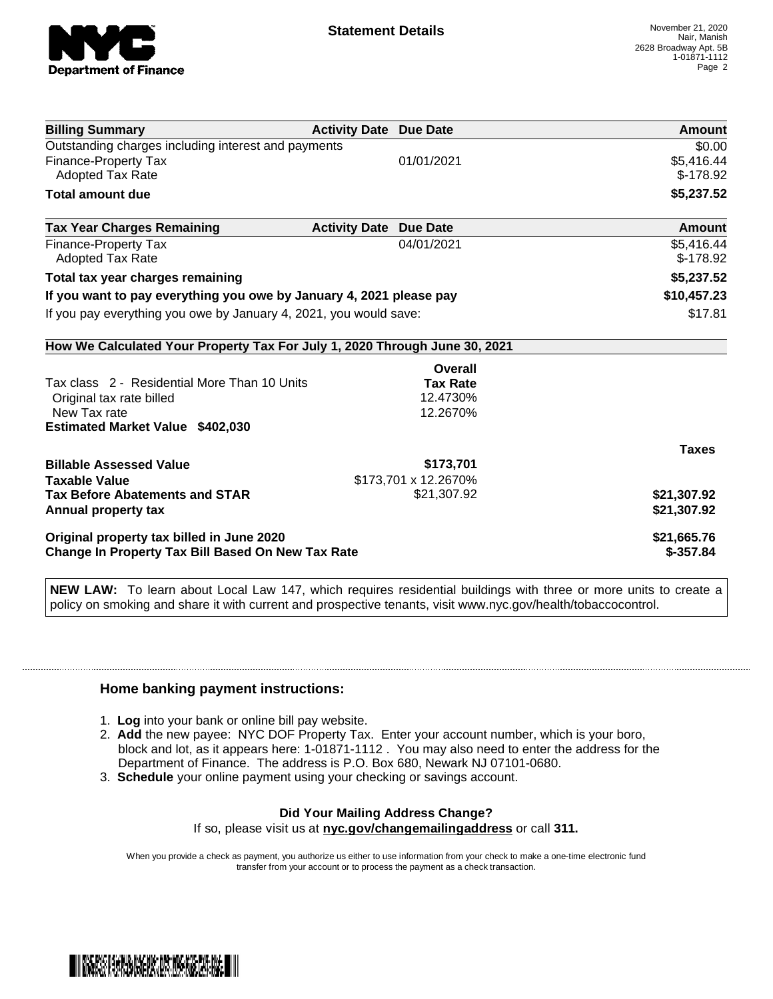

| <b>Billing Summary</b>                                                     | <b>Activity Date Due Date</b>           | Amount       |
|----------------------------------------------------------------------------|-----------------------------------------|--------------|
| Outstanding charges including interest and payments                        |                                         | \$0.00       |
| Finance-Property Tax                                                       | 01/01/2021                              | \$5,416.44   |
| Adopted Tax Rate                                                           |                                         | $$-178.92$   |
| <b>Total amount due</b>                                                    |                                         | \$5,237.52   |
| <b>Tax Year Charges Remaining</b>                                          | <b>Activity Date</b><br><b>Due Date</b> | Amount       |
| <b>Finance-Property Tax</b>                                                | 04/01/2021                              | \$5,416.44   |
| <b>Adopted Tax Rate</b>                                                    |                                         | $$-178.92$   |
| Total tax year charges remaining                                           | \$5,237.52                              |              |
| If you want to pay everything you owe by January 4, 2021 please pay        | \$10,457.23                             |              |
| If you pay everything you owe by January 4, 2021, you would save:          | \$17.81                                 |              |
| How We Calculated Your Property Tax For July 1, 2020 Through June 30, 2021 |                                         |              |
|                                                                            | Overall                                 |              |
| Tax class 2 - Residential More Than 10 Units                               | <b>Tax Rate</b>                         |              |
| Original tax rate billed                                                   | 12.4730%                                |              |
| New Tax rate                                                               | 12.2670%                                |              |
| <b>Estimated Market Value \$402,030</b>                                    |                                         |              |
|                                                                            |                                         | <b>Taxes</b> |
| <b>Billable Assessed Value</b>                                             | \$173,701                               |              |
| <b>Taxable Value</b>                                                       | \$173,701 x 12.2670%                    |              |
| <b>Tax Before Abatements and STAR</b>                                      | \$21,307.92                             | \$21,307.92  |
| Annual property tax                                                        |                                         | \$21,307.92  |
| Original property tax billed in June 2020                                  | \$21,665.76                             |              |
| Change In Property Tax Bill Based On New Tax Rate                          | $$-357.84$                              |              |

**NEW LAW:** To learn about Local Law 147, which requires residential buildings with three or more units to create a policy on smoking and share it with current and prospective tenants, visit www.nyc.gov/health/tobaccocontrol.

## **Home banking payment instructions:**

- 1. **Log** into your bank or online bill pay website.
- 2. **Add** the new payee: NYC DOF Property Tax. Enter your account number, which is your boro, block and lot, as it appears here: 1-01871-1112 . You may also need to enter the address for the Department of Finance. The address is P.O. Box 680, Newark NJ 07101-0680.
- 3. **Schedule** your online payment using your checking or savings account.

## **Did Your Mailing Address Change?**

If so, please visit us at **nyc.gov/changemailingaddress** or call **311.**

When you provide a check as payment, you authorize us either to use information from your check to make a one-time electronic fund transfer from your account or to process the payment as a check transaction.